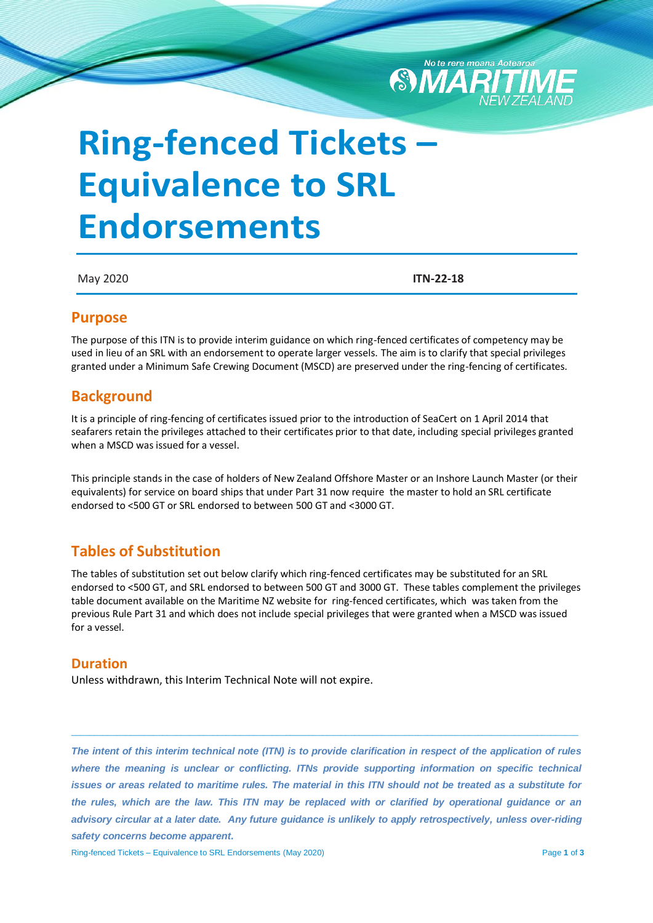

# **Ring-fenced Tickets – Equivalence to SRL Endorsements**

May 2020 **ITN-22-18**

### **Purpose**

The purpose of this ITN is to provide interim guidance on which ring-fenced certificates of competency may be used in lieu of an SRL with an endorsement to operate larger vessels. The aim is to clarify that special privileges granted under a Minimum Safe Crewing Document (MSCD) are preserved under the ring-fencing of certificates.

# **Background**

It is a principle of ring-fencing of certificates issued prior to the introduction of SeaCert on 1 April 2014 that seafarers retain the privileges attached to their certificates prior to that date, including special privileges granted when a MSCD was issued for a vessel.

This principle stands in the case of holders of New Zealand Offshore Master or an Inshore Launch Master (or their equivalents) for service on board ships that under Part 31 now require the master to hold an SRL certificate endorsed to <500 GT or SRL endorsed to between 500 GT and <3000 GT.

# **Tables of Substitution**

The tables of substitution set out below clarify which ring-fenced certificates may be substituted for an SRL endorsed to <500 GT, and SRL endorsed to between 500 GT and 3000 GT. These tables complement the privileges table document available on the Maritime NZ website for ring-fenced certificates, which was taken from the previous Rule Part 31 and which does not include special privileges that were granted when a MSCD was issued for a vessel.

#### **Duration**

Unless withdrawn, this Interim Technical Note will not expire.

*The intent of this interim technical note (ITN) is to provide clarification in respect of the application of rules where the meaning is unclear or conflicting. ITNs provide supporting information on specific technical issues or areas related to maritime rules. The material in this ITN should not be treated as a substitute for the rules, which are the law. This ITN may be replaced with or clarified by operational guidance or an advisory circular at a later date. Any future guidance is unlikely to apply retrospectively, unless over-riding safety concerns become apparent.*

 $\_$  ,  $\_$  ,  $\_$  ,  $\_$  ,  $\_$  ,  $\_$  ,  $\_$  ,  $\_$  ,  $\_$  ,  $\_$  ,  $\_$  ,  $\_$  ,  $\_$  ,  $\_$  ,  $\_$  ,  $\_$  ,  $\_$  ,  $\_$  ,  $\_$  ,  $\_$  ,  $\_$  ,  $\_$  ,  $\_$  ,  $\_$  ,  $\_$  ,  $\_$  ,  $\_$  ,  $\_$  ,  $\_$  ,  $\_$  ,  $\_$  ,  $\_$  ,  $\_$  ,  $\_$  ,  $\_$  ,  $\_$  ,  $\_$  ,

Ring-fenced Tickets – Equivalence to SRL Endorsements (May 2020) Page **1** of **3**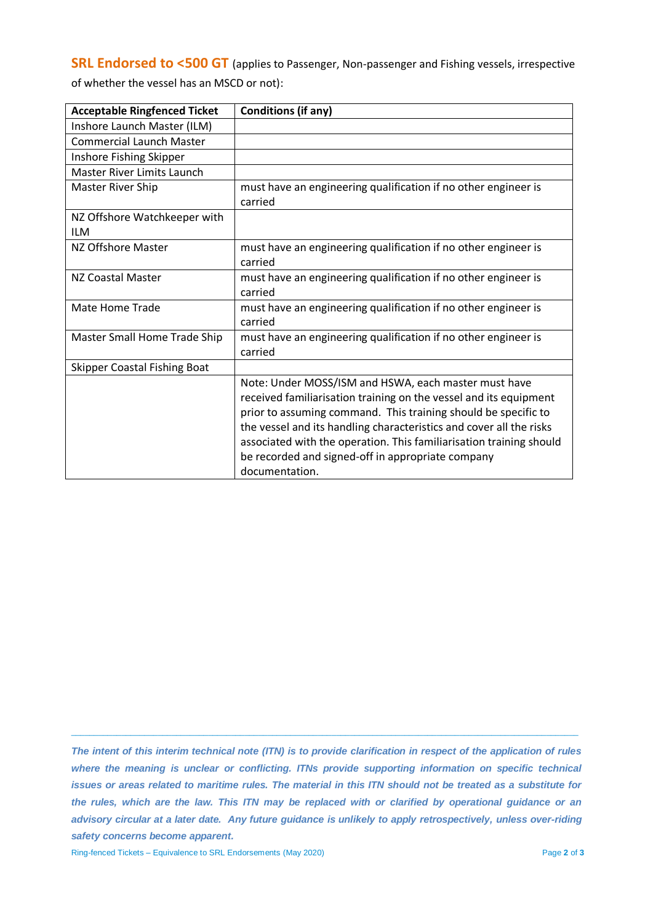**SRL Endorsed to <500 GT** (applies to Passenger, Non-passenger and Fishing vessels, irrespective

| of whether the vessel has an MSCD or not): |
|--------------------------------------------|
|--------------------------------------------|

| <b>Acceptable Ringfenced Ticket</b>        | Conditions (if any)                                                                                                                                                                                                                                                                                                                                                                                              |
|--------------------------------------------|------------------------------------------------------------------------------------------------------------------------------------------------------------------------------------------------------------------------------------------------------------------------------------------------------------------------------------------------------------------------------------------------------------------|
| Inshore Launch Master (ILM)                |                                                                                                                                                                                                                                                                                                                                                                                                                  |
| <b>Commercial Launch Master</b>            |                                                                                                                                                                                                                                                                                                                                                                                                                  |
| Inshore Fishing Skipper                    |                                                                                                                                                                                                                                                                                                                                                                                                                  |
| <b>Master River Limits Launch</b>          |                                                                                                                                                                                                                                                                                                                                                                                                                  |
| <b>Master River Ship</b>                   | must have an engineering qualification if no other engineer is<br>carried                                                                                                                                                                                                                                                                                                                                        |
| NZ Offshore Watchkeeper with<br><b>ILM</b> |                                                                                                                                                                                                                                                                                                                                                                                                                  |
| NZ Offshore Master                         | must have an engineering qualification if no other engineer is<br>carried                                                                                                                                                                                                                                                                                                                                        |
| NZ Coastal Master                          | must have an engineering qualification if no other engineer is<br>carried                                                                                                                                                                                                                                                                                                                                        |
| Mate Home Trade                            | must have an engineering qualification if no other engineer is<br>carried                                                                                                                                                                                                                                                                                                                                        |
| Master Small Home Trade Ship               | must have an engineering qualification if no other engineer is<br>carried                                                                                                                                                                                                                                                                                                                                        |
| <b>Skipper Coastal Fishing Boat</b>        |                                                                                                                                                                                                                                                                                                                                                                                                                  |
|                                            | Note: Under MOSS/ISM and HSWA, each master must have<br>received familiarisation training on the vessel and its equipment<br>prior to assuming command. This training should be specific to<br>the vessel and its handling characteristics and cover all the risks<br>associated with the operation. This familiarisation training should<br>be recorded and signed-off in appropriate company<br>documentation. |

*The intent of this interim technical note (ITN) is to provide clarification in respect of the application of rules where the meaning is unclear or conflicting. ITNs provide supporting information on specific technical issues or areas related to maritime rules. The material in this ITN should not be treated as a substitute for the rules, which are the law. This ITN may be replaced with or clarified by operational guidance or an advisory circular at a later date. Any future guidance is unlikely to apply retrospectively, unless over-riding safety concerns become apparent.*

 $\_$  ,  $\_$  ,  $\_$  ,  $\_$  ,  $\_$  ,  $\_$  ,  $\_$  ,  $\_$  ,  $\_$  ,  $\_$  ,  $\_$  ,  $\_$  ,  $\_$  ,  $\_$  ,  $\_$  ,  $\_$  ,  $\_$  ,  $\_$  ,  $\_$  ,  $\_$  ,  $\_$  ,  $\_$  ,  $\_$  ,  $\_$  ,  $\_$  ,  $\_$  ,  $\_$  ,  $\_$  ,  $\_$  ,  $\_$  ,  $\_$  ,  $\_$  ,  $\_$  ,  $\_$  ,  $\_$  ,  $\_$  ,  $\_$  ,

Ring-fenced Tickets – Equivalence to SRL Endorsements (May 2020) Page **2** of **3**